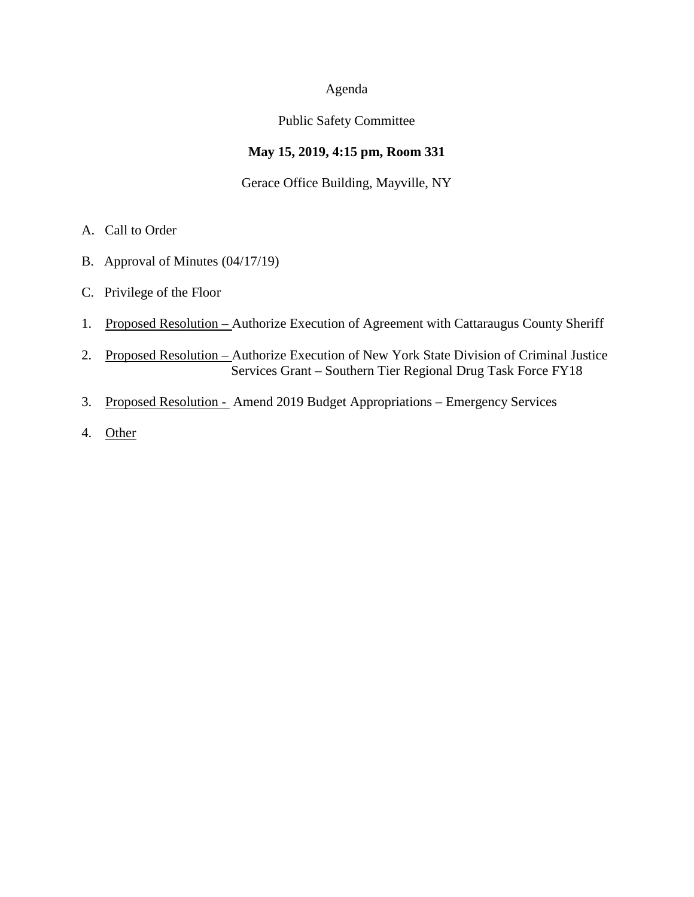### Agenda

### Public Safety Committee

# **May 15, 2019, 4:15 pm, Room 331**

## Gerace Office Building, Mayville, NY

- A. Call to Order
- B. Approval of Minutes (04/17/19)
- C. Privilege of the Floor
- 1. Proposed Resolution Authorize Execution of Agreement with Cattaraugus County Sheriff
- 2. Proposed Resolution Authorize Execution of New York State Division of Criminal Justice Services Grant – Southern Tier Regional Drug Task Force FY18
- 3. Proposed Resolution Amend 2019 Budget Appropriations Emergency Services
- 4. Other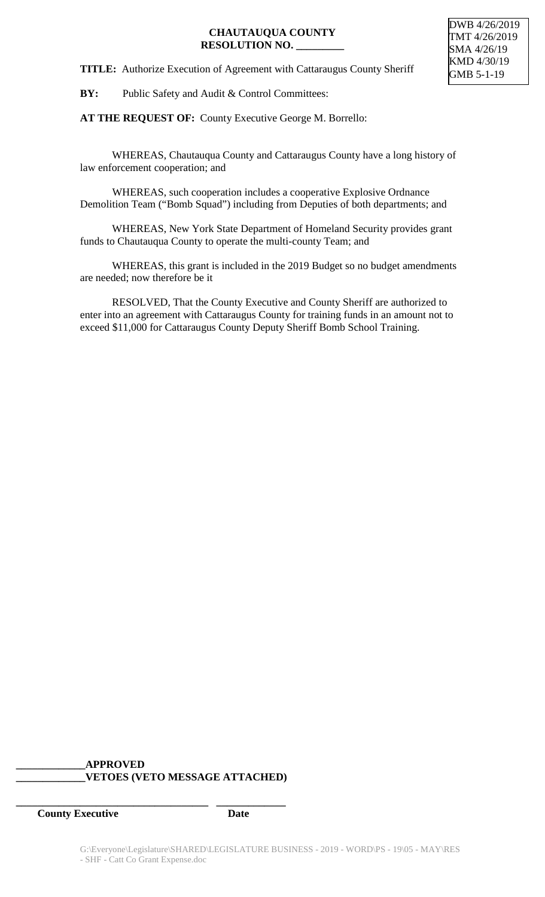## **CHAUTAUQUA COUNTY RESOLUTION NO. \_\_\_\_\_\_\_\_\_**

**TITLE:** Authorize Execution of Agreement with Cattaraugus County Sheriff

**BY:** Public Safety and Audit & Control Committees:

**AT THE REQUEST OF:** County Executive George M. Borrello:

WHEREAS, Chautauqua County and Cattaraugus County have a long history of law enforcement cooperation; and

WHEREAS, such cooperation includes a cooperative Explosive Ordnance Demolition Team ("Bomb Squad") including from Deputies of both departments; and

WHEREAS, New York State Department of Homeland Security provides grant funds to Chautauqua County to operate the multi-county Team; and

WHEREAS, this grant is included in the 2019 Budget so no budget amendments are needed; now therefore be it

RESOLVED, That the County Executive and County Sheriff are authorized to enter into an agreement with Cattaraugus County for training funds in an amount not to exceed \$11,000 for Cattaraugus County Deputy Sheriff Bomb School Training.

## **\_\_\_\_\_\_\_\_\_\_\_\_\_APPROVED \_\_\_\_\_\_\_\_\_\_\_\_\_VETOES (VETO MESSAGE ATTACHED)**

**\_\_\_\_\_\_\_\_\_\_\_\_\_\_\_\_\_\_\_\_\_\_\_\_\_\_\_\_\_\_\_\_\_\_\_\_ \_\_\_\_\_\_\_\_\_\_\_\_\_**

**County Executive Date**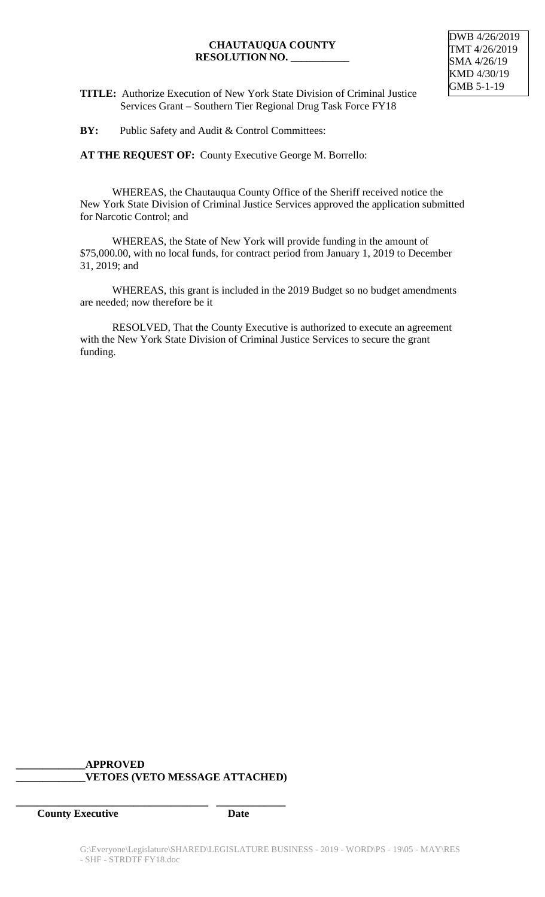### **CHAUTAUQUA COUNTY RESOLUTION NO. \_\_\_\_\_\_\_\_\_\_\_**



**TITLE:** Authorize Execution of New York State Division of Criminal Justice Services Grant – Southern Tier Regional Drug Task Force FY18

**BY:** Public Safety and Audit & Control Committees:

**AT THE REQUEST OF:** County Executive George M. Borrello:

WHEREAS, the Chautauqua County Office of the Sheriff received notice the New York State Division of Criminal Justice Services approved the application submitted for Narcotic Control; and

WHEREAS, the State of New York will provide funding in the amount of \$75,000.00, with no local funds, for contract period from January 1, 2019 to December 31, 2019; and

WHEREAS, this grant is included in the 2019 Budget so no budget amendments are needed; now therefore be it

RESOLVED, That the County Executive is authorized to execute an agreement with the New York State Division of Criminal Justice Services to secure the grant funding.

# **\_\_\_\_\_\_\_\_\_\_\_\_\_APPROVED \_\_\_\_\_\_\_\_\_\_\_\_\_VETOES (VETO MESSAGE ATTACHED)**

**\_\_\_\_\_\_\_\_\_\_\_\_\_\_\_\_\_\_\_\_\_\_\_\_\_\_\_\_\_\_\_\_\_\_\_\_ \_\_\_\_\_\_\_\_\_\_\_\_\_**

*County Executive* Date